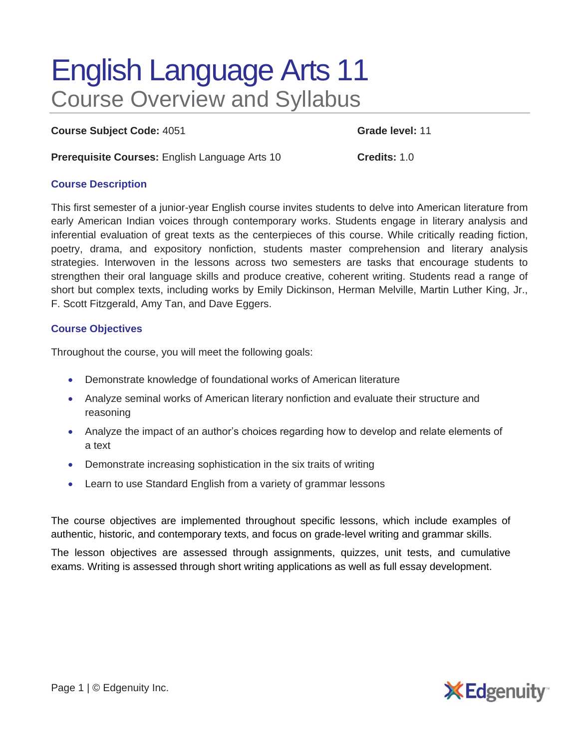# English Language Arts 11 Course Overview and Syllabus

**Course Subject Code:** 4051 **Grade level:** 11

**Prerequisite Courses:** English Language Arts 10 **Credits:** 1.0

### **Course Description**

This first semester of a junior-year English course invites students to delve into American literature from early American Indian voices through contemporary works. Students engage in literary analysis and inferential evaluation of great texts as the centerpieces of this course. While critically reading fiction, poetry, drama, and expository nonfiction, students master comprehension and literary analysis strategies. Interwoven in the lessons across two semesters are tasks that encourage students to strengthen their oral language skills and produce creative, coherent writing. Students read a range of short but complex texts, including works by Emily Dickinson, Herman Melville, Martin Luther King, Jr., F. Scott Fitzgerald, Amy Tan, and Dave Eggers.

## **Course Objectives**

Throughout the course, you will meet the following goals:

- Demonstrate knowledge of foundational works of American literature
- Analyze seminal works of American literary nonfiction and evaluate their structure and reasoning
- Analyze the impact of an author's choices regarding how to develop and relate elements of a text
- Demonstrate increasing sophistication in the six traits of writing
- Learn to use Standard English from a variety of grammar lessons

The course objectives are implemented throughout specific lessons, which include examples of authentic, historic, and contemporary texts, and focus on grade-level writing and grammar skills.

The lesson objectives are assessed through assignments, quizzes, unit tests, and cumulative exams. Writing is assessed through short writing applications as well as full essay development.

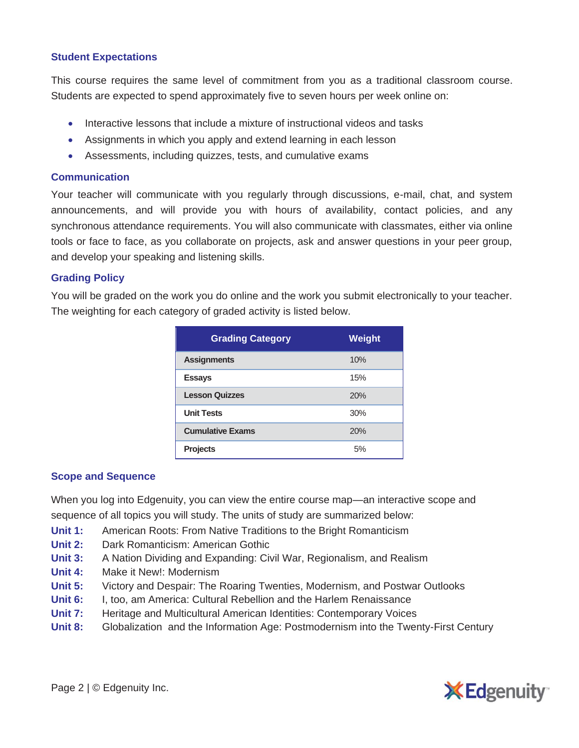## **Student Expectations**

This course requires the same level of commitment from you as a traditional classroom course. Students are expected to spend approximately five to seven hours per week online on:

- Interactive lessons that include a mixture of instructional videos and tasks
- Assignments in which you apply and extend learning in each lesson
- Assessments, including quizzes, tests, and cumulative exams

#### **Communication**

Your teacher will communicate with you regularly through discussions, e-mail, chat, and system announcements, and will provide you with hours of availability, contact policies, and any synchronous attendance requirements. You will also communicate with classmates, either via online tools or face to face, as you collaborate on projects, ask and answer questions in your peer group, and develop your speaking and listening skills.

## **Grading Policy**

You will be graded on the work you do online and the work you submit electronically to your teacher. The weighting for each category of graded activity is listed below.

| <b>Grading Category</b> | <b>Weight</b> |
|-------------------------|---------------|
| <b>Assignments</b>      | 10%           |
| <b>Essays</b>           | 15%           |
| <b>Lesson Quizzes</b>   | 20%           |
| <b>Unit Tests</b>       | 30%           |
| <b>Cumulative Exams</b> | 20%           |
| <b>Projects</b>         | 5%            |

#### **Scope and Sequence**

When you log into Edgenuity, you can view the entire course map—an interactive scope and sequence of all topics you will study. The units of study are summarized below:

- **Unit 1:** American Roots: From Native Traditions to the Bright Romanticism
- **Unit 2:** Dark Romanticism: American Gothic
- **Unit 3:** A Nation Dividing and Expanding: Civil War, Regionalism, and Realism
- **Unit 4:** Make it New!: Modernism
- **Unit 5:** Victory and Despair: The Roaring Twenties, Modernism, and Postwar Outlooks
- **Unit 6:** I, too, am America: Cultural Rebellion and the Harlem Renaissance
- **Unit 7:** Heritage and Multicultural American Identities: Contemporary Voices
- **Unit 8:** Globalization and the Information Age: Postmodernism into the Twenty-First Century